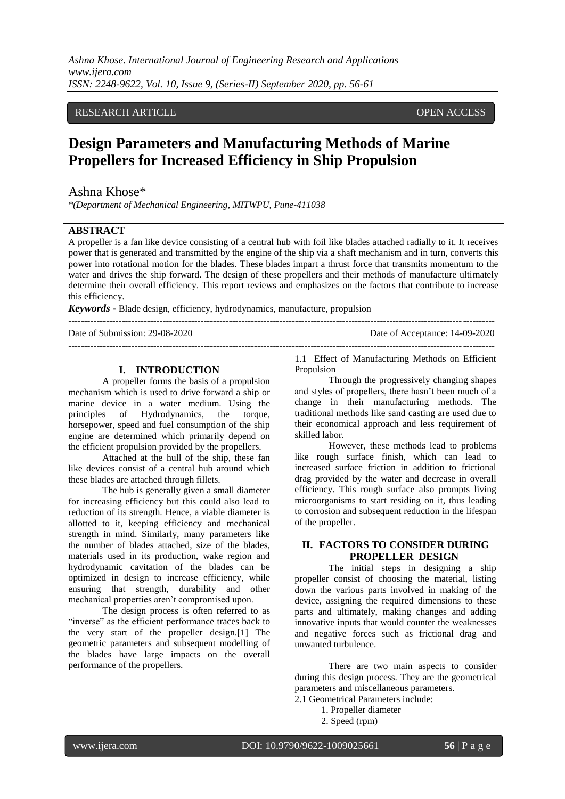*Ashna Khose. International Journal of Engineering Research and Applications www.ijera.com ISSN: 2248-9622, Vol. 10, Issue 9, (Series-II) September 2020, pp. 56-61*

# RESEARCH ARTICLE **CONSERVERS** OPEN ACCESS

# **Design Parameters and Manufacturing Methods of Marine Propellers for Increased Efficiency in Ship Propulsion**

# Ashna Khose\*

*\*(Department of Mechanical Engineering, MITWPU, Pune-411038*

#### **ABSTRACT**

A propeller is a fan like device consisting of a central hub with foil like blades attached radially to it. It receives power that is generated and transmitted by the engine of the ship via a shaft mechanism and in turn, converts this power into rotational motion for the blades. These blades impart a thrust force that transmits momentum to the water and drives the ship forward. The design of these propellers and their methods of manufacture ultimately determine their overall efficiency. This report reviews and emphasizes on the factors that contribute to increase this efficiency.

*Keywords* **-** Blade design, efficiency, hydrodynamics, manufacture, propulsion

 $-+++++++++$ 

Date of Submission: 29-08-2020 Date of Acceptance: 14-09-2020

#### **I. INTRODUCTION**

A propeller forms the basis of a propulsion mechanism which is used to drive forward a ship or marine device in a water medium. Using the principles of Hydrodynamics, the torque, horsepower, speed and fuel consumption of the ship engine are determined which primarily depend on the efficient propulsion provided by the propellers.

Attached at the hull of the ship, these fan like devices consist of a central hub around which these blades are attached through fillets.

The hub is generally given a small diameter for increasing efficiency but this could also lead to reduction of its strength. Hence, a viable diameter is allotted to it, keeping efficiency and mechanical strength in mind. Similarly, many parameters like the number of blades attached, size of the blades, materials used in its production, wake region and hydrodynamic cavitation of the blades can be optimized in design to increase efficiency, while ensuring that strength, durability and other mechanical properties aren't compromised upon.

The design process is often referred to as "inverse" as the efficient performance traces back to the very start of the propeller design.[1] The geometric parameters and subsequent modelling of the blades have large impacts on the overall performance of the propellers.

--------------------------------------------------------------------------------------------------------------------------------------- 1.1 Effect of Manufacturing Methods on Efficient Propulsion

Through the progressively changing shapes and styles of propellers, there hasn't been much of a change in their manufacturing methods. The traditional methods like sand casting are used due to their economical approach and less requirement of skilled labor.

However, these methods lead to problems like rough surface finish, which can lead to increased surface friction in addition to frictional drag provided by the water and decrease in overall efficiency. This rough surface also prompts living microorganisms to start residing on it, thus leading to corrosion and subsequent reduction in the lifespan of the propeller.

#### **II. FACTORS TO CONSIDER DURING PROPELLER DESIGN**

The initial steps in designing a ship propeller consist of choosing the material, listing down the various parts involved in making of the device, assigning the required dimensions to these parts and ultimately, making changes and adding innovative inputs that would counter the weaknesses and negative forces such as frictional drag and unwanted turbulence.

There are two main aspects to consider during this design process. They are the geometrical parameters and miscellaneous parameters.

2.1 Geometrical Parameters include:

- 1. Propeller diameter
- 2. Speed (rpm)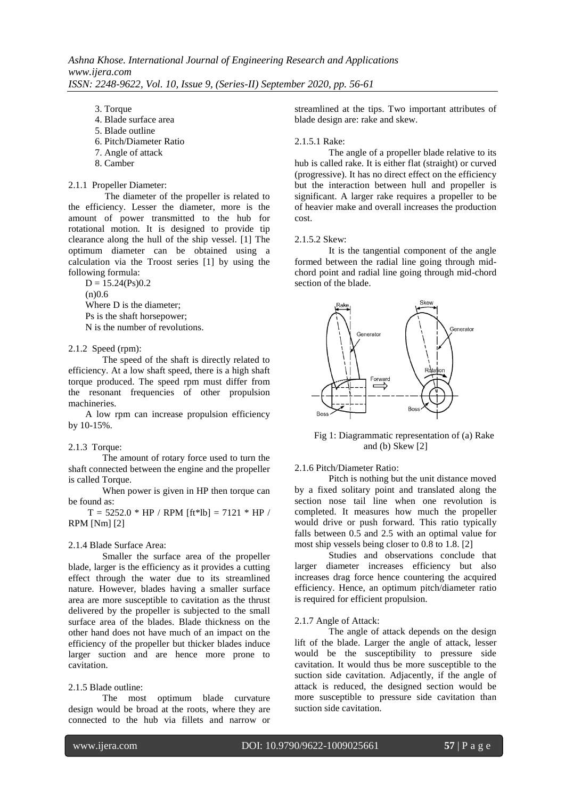3. Torque

- 4. Blade surface area
- 5. Blade outline
- 6. Pitch/Diameter Ratio
- 7. Angle of attack
- 8. Camber

# 2.1.1 Propeller Diameter:

The diameter of the propeller is related to the efficiency. Lesser the diameter, more is the amount of power transmitted to the hub for rotational motion. It is designed to provide tip clearance along the hull of the ship vessel. [1] The optimum diameter can be obtained using a calculation via the Troost series [1] by using the following formula:

 $D = 15.24(Ps)0.2$  $(n)0.6$ Where D is the diameter; Ps is the shaft horsepower; N is the number of revolutions.

## 2.1.2 Speed (rpm):

The speed of the shaft is directly related to efficiency. At a low shaft speed, there is a high shaft torque produced. The speed rpm must differ from the resonant frequencies of other propulsion machineries.

A low rpm can increase propulsion efficiency by 10-15%.

#### 2.1.3 Torque:

The amount of rotary force used to turn the shaft connected between the engine and the propeller is called Torque.

When power is given in HP then torque can be found as:

 $T = 5252.0 * HP / RPM [ft*lb] = 7121 * HP /$ RPM [Nm] [2]

## 2.1.4 Blade Surface Area:

Smaller the surface area of the propeller blade, larger is the efficiency as it provides a cutting effect through the water due to its streamlined nature. However, blades having a smaller surface area are more susceptible to cavitation as the thrust delivered by the propeller is subjected to the small surface area of the blades. Blade thickness on the other hand does not have much of an impact on the efficiency of the propeller but thicker blades induce larger suction and are hence more prone to cavitation.

## 2.1.5 Blade outline:

The most optimum blade curvature design would be broad at the roots, where they are connected to the hub via fillets and narrow or

streamlined at the tips. Two important attributes of blade design are: rake and skew.

#### 2.1.5.1 Rake:

The angle of a propeller blade relative to its hub is called rake. It is either flat (straight) or curved (progressive). It has no direct effect on the efficiency but the interaction between hull and propeller is significant. A larger rake requires a propeller to be of heavier make and overall increases the production cost.

#### 2.1.5.2 Skew:

It is the tangential component of the angle formed between the radial line going through midchord point and radial line going through mid-chord section of the blade.



Fig 1: Diagrammatic representation of (a) Rake and (b) Skew [2]

2.1.6 Pitch/Diameter Ratio:

Pitch is nothing but the unit distance moved by a fixed solitary point and translated along the section nose tail line when one revolution is completed. It measures how much the propeller would drive or push forward. This ratio typically falls between 0.5 and 2.5 with an optimal value for most ship vessels being closer to 0.8 to 1.8. [2]

Studies and observations conclude that larger diameter increases efficiency but also increases drag force hence countering the acquired efficiency. Hence, an optimum pitch/diameter ratio is required for efficient propulsion.

## 2.1.7 Angle of Attack:

The angle of attack depends on the design lift of the blade. Larger the angle of attack, lesser would be the susceptibility to pressure side cavitation. It would thus be more susceptible to the suction side cavitation. Adjacently, if the angle of attack is reduced, the designed section would be more susceptible to pressure side cavitation than suction side cavitation.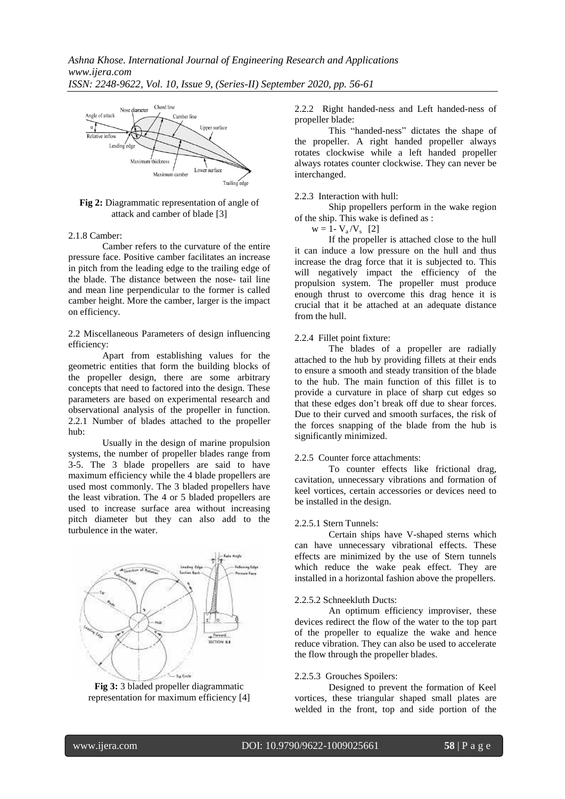

**Fig 2:** Diagrammatic representation of angle of attack and camber of blade [3]

#### 2.1.8 Camber:

Camber refers to the curvature of the entire pressure face. Positive camber facilitates an increase in pitch from the leading edge to the trailing edge of the blade. The distance between the nose- tail line and mean line perpendicular to the former is called camber height. More the camber, larger is the impact on efficiency.

2.2 Miscellaneous Parameters of design influencing efficiency:

Apart from establishing values for the geometric entities that form the building blocks of the propeller design, there are some arbitrary concepts that need to factored into the design. These parameters are based on experimental research and observational analysis of the propeller in function. 2.2.1 Number of blades attached to the propeller hub:

Usually in the design of marine propulsion systems, the number of propeller blades range from 3-5. The 3 blade propellers are said to have maximum efficiency while the 4 blade propellers are used most commonly. The 3 bladed propellers have the least vibration. The 4 or 5 bladed propellers are used to increase surface area without increasing pitch diameter but they can also add to the turbulence in the water.



**Fig 3:** 3 bladed propeller diagrammatic representation for maximum efficiency [4]

2.2.2 Right handed-ness and Left handed-ness of propeller blade:

This "handed-ness" dictates the shape of the propeller. A right handed propeller always rotates clockwise while a left handed propeller always rotates counter clockwise. They can never be interchanged.

#### 2.2.3 Interaction with hull:

Ship propellers perform in the wake region of the ship. This wake is defined as :

 $w = 1 - V_a/V_s$  [2]

If the propeller is attached close to the hull it can induce a low pressure on the hull and thus increase the drag force that it is subjected to. This will negatively impact the efficiency of the propulsion system. The propeller must produce enough thrust to overcome this drag hence it is crucial that it be attached at an adequate distance from the hull.

#### 2.2.4 Fillet point fixture:

The blades of a propeller are radially attached to the hub by providing fillets at their ends to ensure a smooth and steady transition of the blade to the hub. The main function of this fillet is to provide a curvature in place of sharp cut edges so that these edges don't break off due to shear forces. Due to their curved and smooth surfaces, the risk of the forces snapping of the blade from the hub is significantly minimized.

#### 2.2.5 Counter force attachments:

To counter effects like frictional drag, cavitation, unnecessary vibrations and formation of keel vortices, certain accessories or devices need to be installed in the design.

#### 2.2.5.1 Stern Tunnels:

Certain ships have V-shaped sterns which can have unnecessary vibrational effects. These effects are minimized by the use of Stern tunnels which reduce the wake peak effect. They are installed in a horizontal fashion above the propellers.

#### 2.2.5.2 Schneekluth Ducts:

An optimum efficiency improviser, these devices redirect the flow of the water to the top part of the propeller to equalize the wake and hence reduce vibration. They can also be used to accelerate the flow through the propeller blades.

#### 2.2.5.3 Grouches Spoilers:

Designed to prevent the formation of Keel vortices, these triangular shaped small plates are welded in the front, top and side portion of the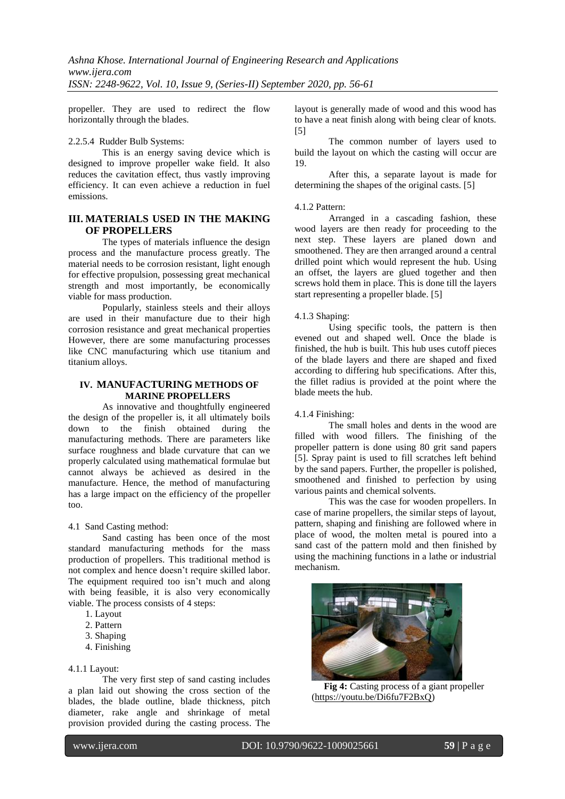propeller. They are used to redirect the flow horizontally through the blades.

#### 2.2.5.4 Rudder Bulb Systems:

This is an energy saving device which is designed to improve propeller wake field. It also reduces the cavitation effect, thus vastly improving efficiency. It can even achieve a reduction in fuel emissions.

# **III. MATERIALS USED IN THE MAKING OF PROPELLERS**

The types of materials influence the design process and the manufacture process greatly. The material needs to be corrosion resistant, light enough for effective propulsion, possessing great mechanical strength and most importantly, be economically viable for mass production.

Popularly, stainless steels and their alloys are used in their manufacture due to their high corrosion resistance and great mechanical properties However, there are some manufacturing processes like CNC manufacturing which use titanium and titanium alloys.

# **IV. MANUFACTURING METHODS OF MARINE PROPELLERS**

As innovative and thoughtfully engineered the design of the propeller is, it all ultimately boils down to the finish obtained during the manufacturing methods. There are parameters like surface roughness and blade curvature that can we properly calculated using mathematical formulae but cannot always be achieved as desired in the manufacture. Hence, the method of manufacturing has a large impact on the efficiency of the propeller too.

4.1 Sand Casting method:

Sand casting has been once of the most standard manufacturing methods for the mass production of propellers. This traditional method is not complex and hence doesn't require skilled labor. The equipment required too isn't much and along with being feasible, it is also very economically viable. The process consists of 4 steps:

- 1. Layout
- 2. Pattern
- 3. Shaping
- 4. Finishing

# 4.1.1 Layout:

The very first step of sand casting includes a plan laid out showing the cross section of the blades, the blade outline, blade thickness, pitch diameter, rake angle and shrinkage of metal provision provided during the casting process. The

layout is generally made of wood and this wood has to have a neat finish along with being clear of knots.  $[5]$ 

The common number of layers used to build the layout on which the casting will occur are 19.

After this, a separate layout is made for determining the shapes of the original casts. [5]

#### 4.1.2 Pattern:

Arranged in a cascading fashion, these wood layers are then ready for proceeding to the next step. These layers are planed down and smoothened. They are then arranged around a central drilled point which would represent the hub. Using an offset, the layers are glued together and then screws hold them in place. This is done till the layers start representing a propeller blade. [5]

#### 4.1.3 Shaping:

Using specific tools, the pattern is then evened out and shaped well. Once the blade is finished, the hub is built. This hub uses cutoff pieces of the blade layers and there are shaped and fixed according to differing hub specifications. After this, the fillet radius is provided at the point where the blade meets the hub.

#### 4.1.4 Finishing:

The small holes and dents in the wood are filled with wood fillers. The finishing of the propeller pattern is done using 80 grit sand papers [5]. Spray paint is used to fill scratches left behind by the sand papers. Further, the propeller is polished, smoothened and finished to perfection by using various paints and chemical solvents.

This was the case for wooden propellers. In case of marine propellers, the similar steps of layout, pattern, shaping and finishing are followed where in place of wood, the molten metal is poured into a sand cast of the pattern mold and then finished by using the machining functions in a lathe or industrial mechanism.



**Fig 4:** Casting process of a giant propeller [\(https://youtu.be/Di6fu7F2BxQ\)](https://youtu.be/Di6fu7F2BxQ)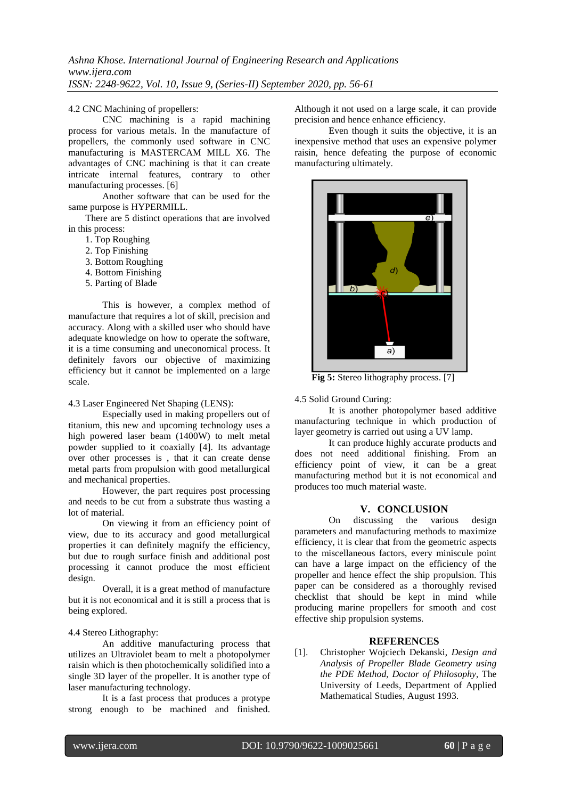## 4.2 CNC Machining of propellers:

CNC machining is a rapid machining process for various metals. In the manufacture of propellers, the commonly used software in CNC manufacturing is MASTERCAM MILL X6. The advantages of CNC machining is that it can create intricate internal features, contrary to other manufacturing processes. [6]

Another software that can be used for the same purpose is HYPERMILL.

There are 5 distinct operations that are involved in this process:

- 1. Top Roughing
- 2. Top Finishing
- 3. Bottom Roughing
- 4. Bottom Finishing
- 5. Parting of Blade

This is however, a complex method of manufacture that requires a lot of skill, precision and accuracy. Along with a skilled user who should have adequate knowledge on how to operate the software, it is a time consuming and uneconomical process. It definitely favors our objective of maximizing efficiency but it cannot be implemented on a large scale.

## 4.3 Laser Engineered Net Shaping (LENS):

Especially used in making propellers out of titanium, this new and upcoming technology uses a high powered laser beam (1400W) to melt metal powder supplied to it coaxially [4]. Its advantage over other processes is , that it can create dense metal parts from propulsion with good metallurgical and mechanical properties.

However, the part requires post processing and needs to be cut from a substrate thus wasting a lot of material.

On viewing it from an efficiency point of view, due to its accuracy and good metallurgical properties it can definitely magnify the efficiency, but due to rough surface finish and additional post processing it cannot produce the most efficient design.

Overall, it is a great method of manufacture but it is not economical and it is still a process that is being explored.

## 4.4 Stereo Lithography:

An additive manufacturing process that utilizes an Ultraviolet beam to melt a photopolymer raisin which is then photochemically solidified into a single 3D layer of the propeller. It is another type of laser manufacturing technology.

It is a fast process that produces a protype strong enough to be machined and finished.

Although it not used on a large scale, it can provide precision and hence enhance efficiency.

Even though it suits the objective, it is an inexpensive method that uses an expensive polymer raisin, hence defeating the purpose of economic manufacturing ultimately.



**Fig 5:** Stereo lithography process. [7]

4.5 Solid Ground Curing:

It is another photopolymer based additive manufacturing technique in which production of layer geometry is carried out using a UV lamp.

It can produce highly accurate products and does not need additional finishing. From an efficiency point of view, it can be a great manufacturing method but it is not economical and produces too much material waste.

# **V. CONCLUSION**

On discussing the various design parameters and manufacturing methods to maximize efficiency, it is clear that from the geometric aspects to the miscellaneous factors, every miniscule point can have a large impact on the efficiency of the propeller and hence effect the ship propulsion. This paper can be considered as a thoroughly revised checklist that should be kept in mind while producing marine propellers for smooth and cost effective ship propulsion systems.

## **REFERENCES**

[1]. Christopher Wojciech Dekanski, *Design and Analysis of Propeller Blade Geometry using the PDE Method, Doctor of Philosophy*, The University of Leeds, Department of Applied Mathematical Studies, August 1993.